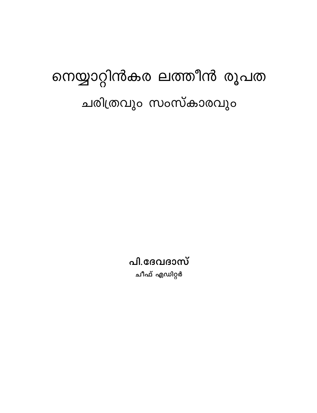# നെയ്യാറ്റിൻകര ലത്തീൻ രൂപത ചരിത്രവും സംസ്കാരവും

പി.ദേവദാസ് ചീഫ് എഡിറ്റർ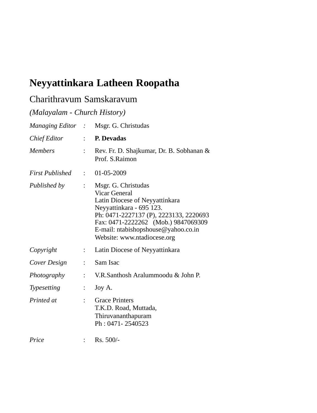# **Neyyattinkara Latheen Roopatha**

### Charithravum Samskaravum

*(Malayalam - Church History)*

|                        |                           | Managing Editor : Msgr. G. Christudas                                                                                                                                                                                                                     |
|------------------------|---------------------------|-----------------------------------------------------------------------------------------------------------------------------------------------------------------------------------------------------------------------------------------------------------|
| Chief Editor           | $\mathbb{R}^{\mathbb{Z}}$ | P. Devadas                                                                                                                                                                                                                                                |
| <b>Members</b>         | $\ddot{\cdot}$            | Rev. Fr. D. Shajkumar, Dr. B. Sobhanan &<br>Prof. S.Raimon                                                                                                                                                                                                |
| <b>First Published</b> |                           | $\therefore$ 01-05-2009                                                                                                                                                                                                                                   |
| Published by           | $\mathbb{R}^{\mathbb{Z}}$ | Msgr. G. Christudas<br>Vicar General<br>Latin Diocese of Neyyattinkara<br>Neyyattinkara - 695 123.<br>Ph: 0471-2227137 (P), 2223133, 2220693<br>Fax: 0471-2222262 (Mob.) 9847069309<br>E-mail: ntabishopshouse@yahoo.co.in<br>Website: www.ntadiocese.org |
| Copyright              | $\mathbb{Z}^{\mathbb{Z}}$ | Latin Diocese of Neyyattinkara                                                                                                                                                                                                                            |
| Cover Design           | $\ddot{\cdot}$            | Sam Isac                                                                                                                                                                                                                                                  |
| Photography            |                           | V.R.Santhosh Aralummoodu & John P.                                                                                                                                                                                                                        |
| Typesetting            |                           | Joy A.                                                                                                                                                                                                                                                    |
| Printed at             |                           | <b>Grace Printers</b><br>T.K.D. Road, Muttada,<br>Thiruvananthapuram<br>Ph: 0471-2540523                                                                                                                                                                  |
| Price                  |                           | Rs. 500/-                                                                                                                                                                                                                                                 |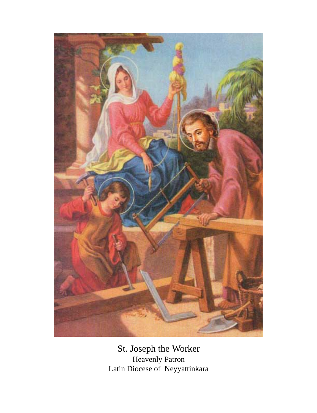

St. Joseph the Worker Heavenly Patron Latin Diocese of Neyyattinkara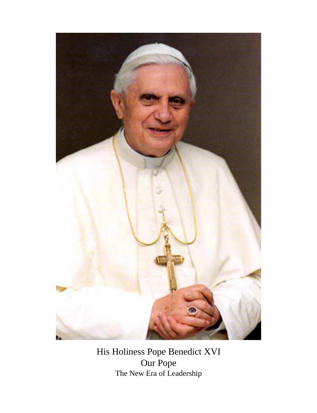

His Holiness Pope Benedict XVI Our Pope The New Era of Leadership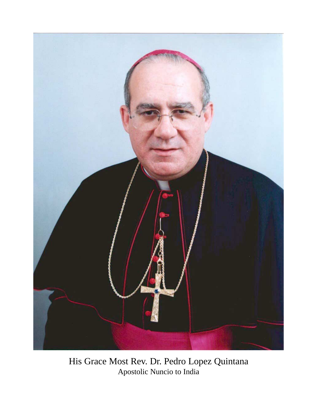

His Grace Most Rev. Dr. Pedro Lopez Quintana Apostolic Nuncio to India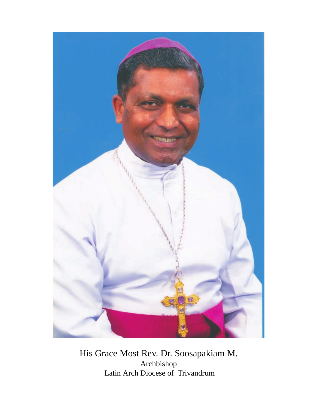

His Grace Most Rev. Dr. Soosapakiam M. Archbishop Latin Arch Diocese of Trivandrum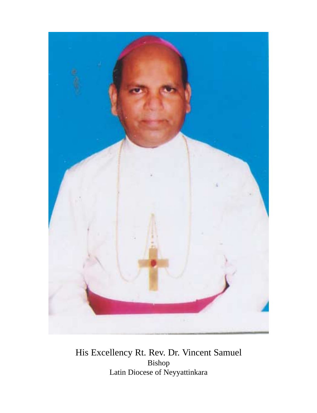

His Excellency Rt. Rev. Dr. Vincent Samuel Bishop Latin Diocese of Neyyattinkara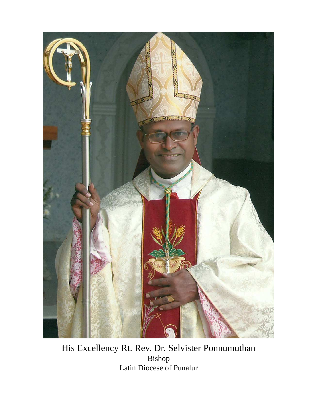

His Excellency Rt. Rev. Dr. Selvister Ponnumuthan Bishop Latin Diocese of Punalur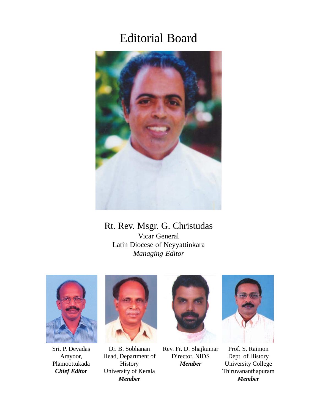# Editorial Board



### Rt. Rev. Msgr. G. Christudas Vicar General Latin Diocese of Neyyattinkara *Managing Editor*



Sri. P. Devadas Arayoor, Plamoottukada *Chief Editor*



Dr. B. Sobhanan Head, Department of History University of Kerala *Member*



Rev. Fr. D. Shajkumar Director, NIDS *Member*



Prof. S. Raimon Dept. of History University College Thiruvananthapuram *Member*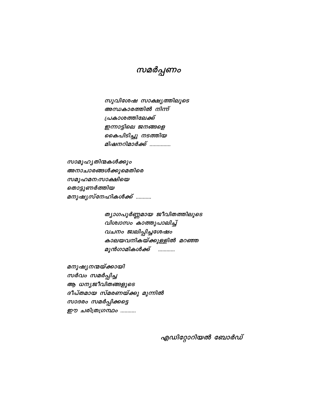സമർപ്പണം

സുവിശേഷ സാക്ഷ്യത്തിലൂടെ അന്ധകാരത്തിൽ നിന്ന് പ്രകാശത്തിലേക്ക് ഇന്നാട്ടിലെ ജനങ്ങളെ കൈപിടിച്ചു നടത്തിയ മിഷനറിമാർക്ക് ..............

സാമൂഹൃതിന്മകൾക്കും അനാചാരങ്ങൾക്കുമെതിരെ സമൂഹമന:സാക്ഷിയെ തൊട്ടുണർത്തിയ മനുഷ്യസ്നേഹികൾക്ക് ...........

> ത്യാഗപൂർണ്ണമായ ജീവിതത്തിലൂടെ വിശ്വാസം കാത്തുപാലിച്ച് വചനം ജ്വലിപ്പിച്ചശേഷം കാലയവനികയ്ക്കുള്ളിൽ മറഞ്ഞ മുൻഗാമികൾക്ക് ............

മനുഷ്യനന്മയ്ക്കായി സർവം സമർപ്പിച്ച ആ ധന്യജീവിതങ്ങളുടെ ദീപ്തമായ സ്മരണയ്ക്കു മുന്നിൽ സാദരം സമർപ്പിക്കട്ടെ ഈ ചരിത്രഗ്രന്ഥം ..........

എഡിറ്റോറിയൽ ബോർഡ്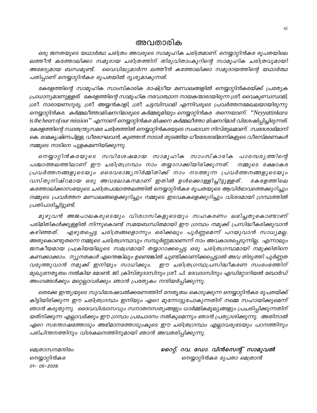### അവതാരിക

ഒരു ജനതയുടെ യഥാർത്ഥ ചരിത്രം അവരുടെ സാമൂഹിക ചരിത്രമാണ്. നെയ്യാറ്റിൻകര രൂപതയിലെ ലത്തീൻ കത്തോലിക്കാ സമുദായ ചരിത്രത്തിന് തിരുവിതാംകൂറിന്റെ സാമൂഹിക ചരിത്രവുമായി വൈവിദ്ധ്യമാർന്ന ലത്തീൻ കത്തോലിക്കാ സമുദായത്തിന്റെ യഥാർത്ഥ അഭേദ്യമായ ബന്ധമുണ്ട്. പതിപ്പാണ് നെയ്യാറ്റിൻകര രൂപതയിൽ ദൃശ്യമാകുന്നത്.

കേരളത്തിന്റെ സാമൂഹിക സാംസ്കാരിക രാഷ്ട്രീയ മണ്ഡലങ്ങളിൽ നെയ്യാറ്റിൻകരയ്ക്ക് പ്രത്യേക പ്രാധാന്യമാണുള്ളത്. കേരളത്തിന്റെ സാമൂഹിക നവോത്ഥാന നായകന്മാരായിരുന്ന ശ്രീ. വൈകുണ്ഡസ്വാമി, ശ്രീ. നാരായണഗുരു, ശ്രീ. അയ്യൻകാളി, ശ്രീ. ചട്ടമ്പിസ്വാമി എന്നിവരുടെ പ്രവർത്തനമേഖലയായിരുന്നു നെയ്യാറ്റിൻകര. കർമ്മലീത്താമിഷനറിമാരുടെ കർമ്മഭൂമിയും നെയ്യാറ്റിൻകര തന്നെയാണ്. "Neyyattinkara is the heart of our mission'' എന്നാണ് നെയ്യാറ്റിൻകര മിഷനെ കർമ്മലീത്താ മിഷനറിമാർ വിശേഷിപ്പിച്ചിരുന്നത്. കേരളത്തിന്റെ സ്ഥതന്ത്ര്യസമര ചരിത്രത്തിൽ നെയ്യാറ്റിൻകരയുടെ സംഭാവന നിസ്തുലമാണ്. സ്വദേശാഭിമാനി കെ. രാമകൃഷ്ണപിള്ള, വീരരാഘവൻ, കുഞ്ഞൻ നാടാർ തുടങ്ങിയ ധീരദേശാഭിമാനികളുടെ വീരസ്മരണകൾ നമ്മുടെ നാടിനെ പുളകമണിയിക്കുന്നു.

നെയ്യാറ്റിൻകരയുടെ സവിശേഷമായ സാമൂഹിക സാംസ്കാരിക പാരമ്പര്യത്തിന്റെ പശ്ചാത്തലത്തിലാണ് ഈ ചരിത്രഗ്രന്ഥം നാം തയ്യാറാക്കിയിരിക്കുന്നത്. നമ്മുടെ രക്ഷാകര പ്രവർത്തനങ്ങളുടെയും ദൈവരാജ്യനിർമ്മിതിക്ക് നാം നടത്തുന്ന പ്രവർത്തനങ്ങളുടെയും വസ്തുനിഷ്ഠമായ ഒരു അവലോകനമാണ് ഇതിൽ ഉൾക്കൊള്ളിച്ചിട്ടുള്ളത്. കേരളത്തിലെ കത്തോലിക്കാസഭയുടെ ചരിത്രപശ്ചാത്തലത്തിൽ നെയ്യാറ്റിൻകര രൂപതയുടെ ആവിർഭാവത്തെക്കുറിച്ചും നമ്മുടെ പ്രവർത്തന മണ്ഡലങ്ങളെക്കുറിച്ചും നമ്മുടെ ഇടവകകളെക്കുറിച്ചും വിശദമായി ഗ്രന്ഥത്തിൽ പ്രതിപാദിച്ചിട്ടുണ്ട്.

മുഴുവൻ അജപാലകരുടെയും വിശ്വാസികളുടെയും സഹകരണം ലഭിച്ചതുകൊണ്ടാണ് പരിമിതികൾക്കുള്ളിൽ നിന്നുകൊണ്ട് സമയബന്ധിതമായി ഈ ഗ്രന്ഥം നമുക്ക് പ്രസിദ്ധീകരിക്കുവാൻ എഴുതപ്പെട്ട ചരിത്രങ്ങളൊന്നും ഒരിക്കലും പൂർണ്ണമെന്ന് പറയുവാൻ സാധ്യമല്ല. കഴിഞ്ഞത്. അതുകൊണ്ടുതന്നെ നമ്മുടെ ചരിത്രഗ്രന്ഥവും സമ്പൂർണ്ണമാണെന്ന് നാം അവകാശപ്പെടുന്നില്ല. എന്നാലും *ജനകീയമായ പ്രക്രിയയിലൂടെ സമഗ്രമായി തയ്യാറാക്കപ്പെട്ട ഒരു ചരിത്രഗ്രന്ഥമായി നമുക്കിതിനെ* കണക്കാക്കാം. ന്യൂനതകൾ എന്തെങ്കിലും ഉണ്ടെങ്കിൽ ചൂണ്ടിക്കാണിക്കപ്പെട്ടാൽ അവ തിരുത്തി പൂർണ്ണത വരുത്തുവാൻ നമുക്ക് ഇനിയും സാധിക്കും. ഈ ചരിത്രഗ്രന്ഥപ്രസിദ്ധീകരണ സംരംഭത്തിന് മുഖ്യനേതൃത്വം നൽകിയ മോൺ. ജി. ക്രിസ്തുദാസിനും ശ്രീ. പി. ദേവദാസിനും എഡിറ്റോറിയൽ ബോർഡ് അംഗങ്ങൾക്കും മറ്റെല്ലാവർക്കും ഞാൻ പ്രത്യേകം നന്ദിയർപ്പിക്കുന്നു.

തെക്കേ ഇന്ത്യയുടെ സുവിശേഷവൽക്കരണത്തിന് നേതൃത്വം കൊടുക്കുന്ന നെയ്യാറ്റിൻകര രൂപതയ്ക്ക് കിട്ടിയിരിക്കുന്ന ഈ ചരിത്രഗ്രന്ഥം ഇനിയും ഏറെ മുന്നോട്ടുപോകുന്നതിന് നമ്മെ സഹായിക്കുമെന്ന് ഞാൻ കരുതുന്നു. ദൈവവിശ്വാസവും സനാതനസത്യങ്ങളും ധാർമ്മികമൂല്യങ്ങളും പ്രചരിപ്പിക്കുന്നതിന് യത്നിക്കുന്ന എല്ലാവർക്കും ഈ ഗ്രന്ഥം പ്രചോദനം നൽകുമെന്നും ഞാൻ പ്രത്യാശിക്കുന്നു. അതിനാൽ ഏറെ സന്തോഷത്തോടും അഭിമാനത്തോടുംകൂടെ ഈ ചരിത്രഗ്രന്ഥം എല്ലാവരുടേയും പഠനത്തിനും പരിചിന്തനത്തിനും വിശകലനത്തിനുമായി ഞാൻ അവതരിപ്പിക്കുന്നു.

മെത്രാസനമന്ദിരം നെയ്യാറ്റിൻകര 01-05-2009.

റൈറ്റ്. റവ. ഡോ. വിൻസെന്റ് സാമുവൽ നെയ്യാറ്റിൻകര രൂപതാ മെത്രാൻ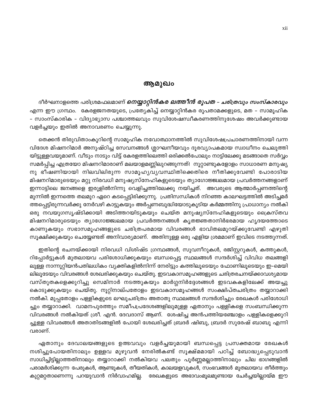#### ആമുഖം

ദീർഘനാളത്തെ പരിശ്രമഫലമാണ് *<mark>നെയ്യാറ്റിൻകര ലത്തീൻ രൂപത – ചരിത്രവും സംസ്കാരവും</mark>* എന്ന ഈ ഗ്രന്ഥം. കേരളജനതയുടെ, പ്രത്യേകിച്ച് നെയ്യാറ്റിൻകര രൂപതാമക്കളുടെ, മത – സാമൂഹിക – സാംസ്കാരിക – വിദ്യാഭ്യാസ പശ്ചാത്തലവും സുവിശേഷസ്വീകരണത്തിനുശേഷം അവർക്കുണ്ടായ വളർച്ചയും ഇതിൽ അനാവരണം ചെയ്യുന്നു.

തെക്കൻ തിരുവിതാംകൂറിന്റെ സാമൂഹിക നവോത്ഥാനത്തിൽ സുവിശേഷപ്രചാരണത്തിനായി വന്ന വിദേശ മിഷനറിമാർ അനുഷ്ഠിച്ച സേവനങ്ങൾ ശ്ലാഘനീയവും ദൂരവ്യാപകമായ സ്വാധീനം ചെലുത്തി യിട്ടുള്ളവയുമാണ്. വീടും നാടും വിട്ട് കേരളത്തിലെത്തി ഒരിക്കൽപോലും നാട്ടിലേക്കു മടങ്ങാതെ സർവ്വം സമർപ്പിച്ച എത്രയോ മിഷനറിമാരാണ് മലയാളമണ്ണിലുറങ്ങുന്നത്! നൂറ്റാണ്ടുകളോളം സാധാരണ മനുഷ്യ നു ഭീഷണിയായി നിലവിലിരുന്ന സാമൂഹ്യവ്യവസ്ഥിതിക്കെതിരെ നീതിക്കുവേണ്ടി പോരാടിയ മിഷനറിമാരുടെയും മറ്റു നിരവധി മനുഷ്യസ്നേഹികളുടെയും ത്യാഗോജ്ജ്വലമായ പ്രവർത്തനങ്ങളാണ് ഇന്നാട്ടിലെ ജനങ്ങളെ ഇരുളിൽനിന്നു വെളിച്ചത്തിലേക്കു നയിച്ചത്. അവരുടെ ആത്മാർപ്പണത്തിന്റെ മുന്നിൽ ഇന്നത്തെ തലമുറ ഏറെ കടപ്പെട്ടിരിക്കുന്നു. പ്രതിസന്ധികൾ നിറഞ്ഞ കാലഘട്ടത്തിൽ അടിച്ചമർ ത്തപ്പെട്ടിരുന്നവർക്കു നേർവഴി കാട്ടുകയും അർപ്പണബുദ്ധിയോടുകൂടിയ കർമ്മത്തിനു പ്രാധാന്യം നൽകി ഒരു നവയുഗസൃഷ്ടിക്കായി അടിത്തറയിടുകയും ചെയ്ത മനുഷ്യസ്നേഹികളുടെയും ക്രൈസ്തവ മിഷനറിമാരുടെയും ത്യാഗോജ്ജ്വലമായ പ്രവർത്തനങ്ങൾ കൃതജ്ഞതാനിർഭരമായ ഹൃദയത്തോടെ കാണുകയും സഭാസമൂഹങ്ങളുടെ ചരിത്രപരമായ വിവരങ്ങൾ ഭാവിതലമുറയ്ക്കുവേണ്ടി എഴുതി സൂക്ഷിക്കുകയും ചെയ്യേണ്ടത് അനിവാര്യമാണ്. അതിനുള്ള ഒരു എളിയ ശ്രമമാണ് ഇവിടെ നടത്തുന്നത്.

ഇതിന്റെ രചനയ്ക്കായി നിരവധി വിശിഷ്ട ഗ്രന്ഥങ്ങൾ, സുവനീറുകൾ, രജിസ്റ്ററുകൾ, കത്തുകൾ, റിപ്പോർട്ടുകൾ മുതലായവ പരിശോധിക്കുകയും ബന്ധപ്പെട്ട സ്ഥലങ്ങൾ സന്ദർശിച്ച് വിവിധ തലങ്ങളി ലുള്ള നാന്നൂറ്റിയൻപതിലധികം വ്യക്തികളിൽനിന്ന് നേരിട്ടും കത്തിലൂടെയും ഫോണിലൂടെയും ഇ–മെയി ലിലൂടേയും വിവരങ്ങൾ ശേഖരിക്കുകയും ചെയ്തു. ഇടവകാസമൂഹങ്ങളുടെ ചരിത്രരചനയ്ക്കാവശ്യമായ വസ്തുതകളെക്കുറിച്ചു സെമിനാർ നടത്തുകയും മാർഗ്ഗനിർദ്ദേശങ്ങൾ ഇടവകകളിലേക്ക് അയച്ചു കൊടുക്കുകയും ചെയ്തു. നൂറ്റിനാല്പതോളം ഇടവകാസമൂഹങ്ങൾ സംക്ഷിപ്തചരിത്രം തയ്യാറാക്കി നൽകി. മുപ്പതോളം പള്ളികളുടെ ലഘുചരിത്രം അതാതു സ്ഥലങ്ങൾ സന്ദർശിച്ചും രേഖകൾ പരിശോധി ച്ചും തയ്യാറാക്കി. വാമനപുരത്തും സമീപപ്രദേശങ്ങളിലുമുള്ള ഏതാനും പള്ളികളെ സംബന്ധിക്കുന്ന വിവരങ്ങൾ നൽകിയത് ശ്രീ. എൻ. ദേവദാസ് ആണ്. ശേഷിച്ച അൻപത്തിയഞ്ചോളം പള്ളികളെക്കുറി ച്ചുള്ള വിവരങ്ങൾ അതാതിടങ്ങളിൽ പോയി ശേഖരിച്ചത് ബ്രദർ ഷിബു, ബ്രദർ സുരേഷ് ബാബു എന്നി വരാണ്.

ഏതാനും ദേവാലയങ്ങളുടെ ഉത്ഭവവും വളർച്ചയുമായി ബന്ധപ്പെട്ട പ്രസക്തമായ രേഖകൾ നശിച്ചുപോയതിനാലും ഉള്ളവ മുഴുവൻ നേരിൽകണ്ട് സൂക്ഷ്മമായി പഠിച്ച് ബോദ്ധ്യപ്പെടുവാൻ സാധിച്ചിട്ടില്ലാത്തതിനാലും തയ്യാറാക്കി നൽകിയവ പലതും പൂർണ്ണമല്ലാത്തിനാലും ചില ഭാഗങ്ങളിൽ പരാമർശിക്കുന്ന പേരുകൾ, ആണ്ടുകൾ, തീയതികൾ, കാലയളവുകൾ, സംഭവങ്ങൾ മുതലായവ തീർത്തും കുറ്റമറ്റതാണെന്നു പറയുവാൻ നിർവാഹമില്ല. രേഖകളുടെ അഭാവംമൂലമുണ്ടായ ചേർച്ചയില്ലായ്മ ഈ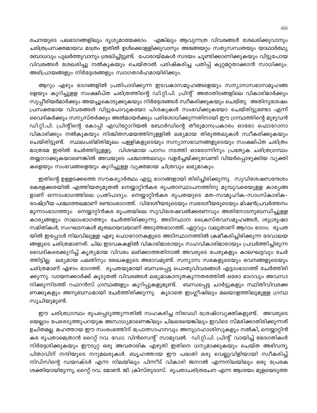രചനയുടെ പലഭാഗങ്ങളിലും ദൃശ്യമായേക്കാം. എങ്കിലും ആവുന്നത്ര വിവരങ്ങൾ ശേഖരിക്കുവാനും ചരിത്രപ്രസക്തമായവ മാത്രം ഇതിൽ ഉൾക്കൊള്ളിക്കുവാനും അങ്ങേയറ്റം സത്യസന്ധതയും യാഥാർത്ഥ്യ ബോധവും പുലർത്തുവാനും ശ്രദ്ധിച്ചിട്ടുണ്ട്. പോരായ്മകൾ സദയം ചൂണ്ടിക്കാണിക്കുകയും വിട്ടുപോയ വിവരങ്ങൾ ശേഖരിച്ചു നൽകുകയും ചെയ്താൽ പരിഷ്കരിച്ച പതിപ്പ് കുറ്റമറ്റതാക്കാൻ സാധിക്കും. അഭിപ്രായങ്ങളും നിർദ്ദേശങ്ങളും സ്വാഗതാർഹമായിരിക്കും.

ആറും ഏഴും ഭാഗങ്ങളിൽ പ്രതിപാദിക്കുന്ന ഇടവകാസമൂഹങ്ങളെയും സന്യാസസഭാസമൂഹങ്ങ ളെയും കുറിച്ചുളള സംക്ഷിപ്ത ചരിത്രത്തിന്റെ ഡി.റ്റി.പി. പ്രിന്റ് അതാതിടങ്ങളിലെ വികാരിമാർക്കും സുപ്പീരിയർമാർക്കും അയച്ചുകൊടുക്കുകയും നിർദ്ദേശങ്ങൾ സ്വീകരിക്കുകയും ചെയ്തു. അതിനുശേഷം പ്രസക്തമായ വിവരങ്ങൾ വിട്ടുപോവുകയോ പിശകുകൾ സംഭവിക്കുകയോ ചെയ്തിട്ടുണ്ടോ എന്ന് വൈദികർക്കും സന്യസ്തർക്കും അൽമായർക്കും പരിശോധിക്കുന്നതിനായി ഈ ഗ്രന്ഥത്തിന്റെ മുഴുവൻ ഡി.റ്റി.പി. പ്രിന്റിന്റെ കോപ്പി എഡിറ്റോറിയൽ ബോർഡിന്റെ തീരുമാനപ്രകാരം ഓരോ ഫൊറോനാ വികാരിക്കും നൽകുകയും നിശ്ചിതസമയത്തിനുള്ളിൽ ലഭ്യമായ തിരുത്തലുകൾ സ്ഥീകരിക്കുകയും ചെയ്തിട്ടുണ്ട്. സ്ഥലപരിമിതിമൂലം പള്ളികളുടെയും സന്യാസഭവനങ്ങളുടെയും സംക്ഷിപ്ത ചരിത്രം മാത്രമേ ഇതിൽ ചേർത്തിട്ടുള്ളു. വിശദമായ പഠനം നടത്തി ഓരോന്നിനും പ്രത്യേക ചരിത്രഗ്രന്ഥം തയ്യാറാക്കുകയാണെങ്കിൽ അവയുടെ പശ്ചാത്തലവും വളർച്ചയ്ക്കുവേണ്ടി വിയർപ്പൊഴുക്കിയ വ്യക്തി കളെയും സംഭവങ്ങളെയും കുറിച്ചുള്ള വൃക്തമായ ചിത്രവും ലഭ്യമാകും.

ഇതിന്റെ ഉള്ളടക്കത്തെ സൗകര്യാർത്ഥം എട്ടു ഭാഗങ്ങളായി തിരിച്ചിരിക്കുന്നു. സുവിശേഷസന്ദേശം കേരളക്കരയിൽ എത്തിയതുമുതൽ നെയ്യാറ്റിൻകര രൂപതാസ്ഥാപനത്തിനു മുമ്പുവരെയുള്ള കാര്യങ്ങ ളാണ് ഒന്നാംഭാഗത്തിലെ പ്രതിപാദ്യം. നെയ്യാറ്റിൻകര രൂപതയുടെ മത–സാമൂഹിക–സാംസ്കാരിക– രാഷ്ട്രീയ പശ്ചാത്തലമാണ് രണ്ടാംഭാഗത്ത്. വിദേശീയരുടെയും സ്വദേശീയരുടെയും മിഷൻപ്രവർത്തനം മൂന്നാംഭാഗത്തും നെയ്യാറ്റിൻകര രൂപതയിലെ സുവിശേഷവൽക്കരണവും അതിനോടനുബന്ധിച്ചുള്ള കാര്യങ്ങളും നാലാംഭാഗത്തും ചേർത്തിരിക്കുന്നു. അടിസ്ഥാന ക്രൈസ്തവസമൂഹങ്ങൾ, ശുശ്രൂഷാ സമിതികൾ, സംഘടനകൾ മുതലായവയാണ് അടുത്തഭാഗത്ത്. ഏറ്റവും വലുതാണ് ആറാം ഭാഗം. രൂപത യിൽ ഇപ്പോൾ നിലവിലുള്ള ഏഴു ഫൊറോനകളുടെ അടിസ്ഥാനത്തിൽ ക്രമീകരിച്ചിരിക്കുന്ന ദേവാലയ ങ്ങളുടെ ചരിത്രമാണത്. ചില ഇടവകകളിൽ വികാരിമാരായും സഹവികാരിമാരായും പ്രവർത്തിച്ചിരുന്ന വൈദികരെക്കുറിച്ച് കൃതൃമായ വിവരം ലഭിക്കാത്തതിനാൽ അവരുടെ പേരുകളും കാലഘട്ടവും ചേർ ത്തിട്ടില്ല. ലഭ്യമായ പലതിനും രേഖകളുടെ അഭാവമുണ്ട്. സന്യാസ സഭകളുടെയും ഭവനങ്ങളുടെയും ചരിത്രമാണ് ഏഴാം ഭാഗത്ത്. രൂപതയുമായി ബന്ധപ്പെട്ട പൊതുവിവരങ്ങൾ എട്ടാംഭാഗത്ത് ചേർത്തിരി ക്കുന്നു. വായനക്കാർക്ക് കൂടുതൽ വിവരങ്ങൾ ലഭ്യമാകാനുതകുന്നതരത്തിൽ ഒരോ ഭാഗവും അവസാ നിക്കുന്നിടത്ത് റഫറൻസ് ഗ്രന്ഥങ്ങളും കുറിപ്പുകളുമുണ്ട്. ബന്ധപ്പെട്ട ചാർട്ടുകളും സ്ഥിതിവിവരക്ക ണക്കുകളും അനുബന്ധമായി ചേർത്തിരിക്കുന്നു. കൂടാതെ ഇംഗ്ലീഷിലും മലയാളത്തിലുമുള്ള ഗ്രന്ഥ സൂചിയുമുണ്ട്.

ഈ ചരിത്രഗ്രന്ഥം രൂപപ്പെടുത്തുന്നതിൽ സഹകരിച്ച നിരവധി ശ്രേഷ്ഠവ്യക്തികളുണ്ട്. അവരുടെ യെല്ലാം പേരെടുത്തുപറയുക അസാധ്യമാണെങ്കിലും ചിലരെയെങ്കിലും ഇവിടെ സ്മരിക്കാതിരിക്കുന്നത് ഉചിതമല്ല. മഹത്തായ ഈ സംരംഭത്തിന് പ്രോത്സാഹനവും അനുഗ്രഹാശിസുകളും നൽകി, നെയ്യാറ്റിൻ കര രൂപതാമെത്രാൻ റൈറ്റ് റവ. ഡോ. വിൻസെന്റ് സാമുവൽ. ഡി.റ്റി.പി. പ്രിന്റ് വായിച്ച് ഭേദഗതികൾ നിർദ്ദേശിക്കുകയും ഈടുറ്റ ഒരു അവതാരിക എഴുതി ഇതിനെ ധന്യമാക്കുകയും ചെയ്ത അഭിവന്ദ്യ പിതാവിന് നന്ദിയുടെ നറുമലരുകൾ. ബൃഹത്തായ ഈ പദ്ധതി ഒരു വെല്ലുവിളിയായി സ്ഥീകരിച്ച് നിഡ്സിന്റെ ഡയറക്ടർ എന്ന നിലയിലും പിന്നീട് വികാരി ജനറൽ എന്നനിലയിലും ഒരു പ്രേരക ശക്തിയായിരുന്നു, റൈറ്റ് റവ. മോൺ. ജി. ക്രിസ്തുദാസ്. രൂപതാചരിത്രരചന എന്ന ആശയം മുളയെടുത്ത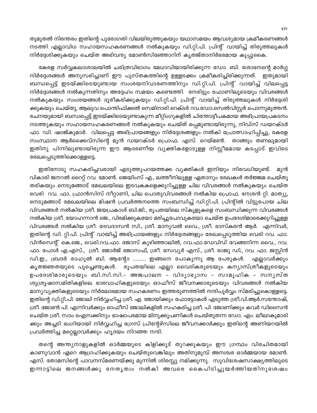തുമുതൽ നിരന്തരം ഇതിന്റെ പുരോഗതി വിലയിരുത്തുകയും യഥാസമയം ആവശ്യമായ ക്രമീകരണങ്ങൾ നടത്തി എല്ലാവിധ സഹായസഹകരണങ്ങൾ നൽകുകയും ഡി.റ്റി.പി. പ്രിന്റ് വായിച്ച് തിരുത്തലുകൾ നിർദ്ദേശിക്കുകയും ചെയ്ത അഭിവന്ദ്യ മോൺസിഞ്ഞോറിന് കൃതജ്താനിർഭരമായ കൂപ്പുകൈ.

കേരള സർവ്വകലാശാലയിൽ ചരിത്രവിഭാഗം മേധാവിയായിരിക്കുന്ന ഡോ. ബി. ശോഭനന്റെ മാർഗ്ഗ നിർദ്ദേശങ്ങൾ അനുസരിച്ചാണ് ഈ പുസ്തകത്തിന്റെ ഉള്ളടക്കം ക്രമീകരിച്ചിരിക്കുന്നത്. ഇതുമായി ബന്ധപ്പെട്ട് ഇടയ്ക്കിടെയുണ്ടായ സംശയനിവാരണത്തിനും ഡി.റ്റി.പി. പ്രിന്റ് വായിച്ച് വിലപ്പെട്ട നിർദ്ദേശങ്ങൾ നൽകുന്നതിനും അദ്ദേഹം സമയം കണ്ടെത്തി. നേരിട്ടും ഫോണിലൂടെയും വിവരങ്ങൾ നൽകുകയും സംശയങ്ങൾ ദൂരീകരിക്കുകയും ഡി.റ്റി.പി. പ്രിന്റ് വായിച്ച് തിരുത്തലുകൾ നിർദ്ദേശി ക്കുകയും ചെയ്തു, ആലുവ പൊന്തിഫിക്കൽ സെമിനാരി റെക്ടർ റവ.ഡോ.സെൽവിസ്റ്റർ പൊന്നുമുത്തൻ. രചനയുമായി ബന്ധപ്പെട്ട് ഇടയ്ക്കിടെയുണ്ടാകുന്ന മീറ്റിംഗുകളിൽ ചിന്തോദ്ദീപകമായ അഭിപ്രായപ്രകടനം നടത്തുകയും സഹായസഹകരണങ്ങൾ നൽകുകയും ചെയ്ത് ഒപ്പമുണ്ടായിരുന്നു, നിഡ്സ് ഡയറക്ടർ ഫാ. ഡി. ഷാജ്കുമാർ. വിലപ്പെട്ട അഭിപ്രായങ്ങളും നിർദ്ദേശങ്ങളും നൽകി പ്രോത്സാഹിപ്പിച്ചു, കേരള സംസ്ഥാന ആർക്കൈവ്സിന്റെ മുൻ ഡയറക്ടർ പ്രൊഫ. എസ്. റെയ്മൺ. താങ്ങും തണലുമായി ഇതിനു പിന്നിലുണ്ടായിരുന്ന ഈ ആദരണീയ വ്യക്തികളോടുള്ള നിസ്സീമമായ കടപ്പാട് ഇവിടെ രേഖപ്പെടുത്തിക്കൊള്ളട്ടെ.

ഇതിനോടു സഹകരിച്ചവരായി എടുത്തുപറയത്തക്ക വ്യക്തികൾ ഇനിയും നിരവധിയുണ്ട്. മൂൻ വികാരി ജനറൽ റൈറ്റ് റവ. മോൺ. ജെയിംസ് എ., ലത്തീനിലുള്ള ഏതാനും രേഖകൾ തർജ്ജമ ചെയ്തു തരികയും നെടുമങ്ങാട് മേഖലയിലെ ഇടവകകളെക്കുറിച്ചുള്ള ചില വിവരങ്ങൾ നൽകുകയും ചെയ്ത വെരി റവ. ഫാ. ഫ്രാൻസിസ് നീറ്റാണി, ചില പൊതുവിവരങ്ങൾ നൽകിയ പ്രൊഫ. നേശൻ റ്റി. മാത്യു, നെടുമങ്ങാട് മേഖലയിലെ മിഷൻ പ്രവർത്തനത്തെ സംബന്ധിച്ച് ഡി.റ്റി.പി. പ്രിന്റിൽ വിട്ടുപോയ ചില വിവരങ്ങൾ നൽകിയ ശ്രീ. ജയപ്രകാശ് ബി.ജി., രൂപതയിലെ സ്കൂളുകളെ സംബന്ധിക്കുന്ന വിവരങ്ങൾ നൽകിയ ശ്രീ. യോഹന്നാൻ ജെ., വിരമിക്കുകയോ മരിച്ചുപോവുകയോ ചെയ്ത ഉപദേശിമാരെക്കുറിച്ചുള്ള വിവരങ്ങൾ നൽകിയ ശ്രീ. ദേവദാസൻ സി., ശ്രീ. മാനുവൽ വൈ., ശ്രീ. ഭാസ്കരൻ ആർ. എന്നിവർ, ഇതിന്റെ ഡി. റ്റി.പി. പ്രിന്റ് വായിച്ച് അഭിപ്രായങ്ങളും നിർദ്ദേശങ്ങളും രേഖപ്പെടുത്തിയ വെരി റവ. ഫാ. വിൻസെന്റ് കെ.ജെ., വെരി.റവ.ഫാ. ജോസ് കുഴിഞ്ഞാലിൽ, റവ.ഫാ.ഡേവിഡ് വേങ്ങനിന്ന വൈ., റവ. ഫാ. പോൾ എ.എസ്., ശ്രീ. ജോർജ് ജോസഫ്, ശ്രീ. സേവ്യർ എസ്., ശ്രീ. രാജു ഡി., റവ. ഫാ. ജസ്റ്റിൻ ഡി.ഇ., ബ്രദർ രാഹുൽ ബി. ആന്റോ ......... ഇങ്ങനെ പോകുന്നു ആ പേരുകൾ. എല്ലാവർക്കും കൃതജ്ഞതയുടെ പൂച്ചെണ്ടുകൾ. രൂപതയിലെ എല്ലാ വൈദികരുടെയും കന്യാസ്ത്രീകളുടെയും ഉപദേശിമാരുടെയും ബി.സി.സി.– അജപാലന - വിദൃാഭൃാസ - സാമൂഹിക - സനൃസ്ത ശുശ്രൂഷാസമിതികളിലെ ഭാരവാഹികളുടെയും ഓഫീസ് ജീവനക്കാരുടെയും വിവരങ്ങൾ നൽകിയ മാന്യവ്യക്തികളുടെയും നിർലോഭമായ സഹകരണം ഇത്തരുണത്തിൽ നന്ദിപൂർവ്വം സ്മരിച്ചുകൊള്ളട്ടെ. ഇതിന്റെ ഡി.റ്റി.പി. ജോലി നിർവ്വഹിച്ച ശ്രീ. എ. ജോയിക്കും ഫോട്ടോകൾ എടുത്ത ശ്രീ.വി.ആർ.സന്തോഷ്, ശ്രീ. ജോൺ പി. എന്നിവർക്കും ഓഫീസ് ജോലികളിൽ സഹകരിച്ച ശ്രീ. പി. ജോണിക്കും കവർ ഡിസൈൻ ചെയ്ത ശ്രീ. സാം ഐസക്കിനും ഭാഷാപരമായ മിനുക്കുപണികൾ ചെയ്തുതന്ന ഡോ. എം. ലീലാകുമാരി ക്കും അച്ചടി ഭംഗിയായി നിർവ്വഹിച്ച ഗ്രേസ് പ്രിന്റേഴ്സിലെ ജീവനക്കാർക്കും ഇതിന്റെ അണിയറയിൽ പ്രവർത്തിച്ച മറ്റെല്ലാവർക്കും ഹൃദയം നിറഞ്ഞ നന്ദി.

തന്റെ അന്ത്യനാളുകളിൽ ഓർമ്മയുടെ കിളിക്കൂട് തുറക്കുകയും ഈ ഗ്രന്ഥം വിരചിതമായി കാണുവാൻ ഏറെ ആഗ്രഹിക്കുകയും ചെയ്തുവെങ്കിലും അതിനുമുമ്പ് അനശ്വര ഓർമ്മയായ മോൺ. എസ്. തോമസിന്റെ പാവനസ്മരണയ്ക്കു മുന്നിൽ ശിരസ്സു നമിക്കുന്നു. സുവിശേഷസാക്ഷ്യത്തിലൂടെ ഇന്നാട്ടിലെ ജനങ്ങൾക്കു നേതൃത്വം നൽകി അവരെ കൈപിടിച്ചുയർത്തിയതിനുശേഷം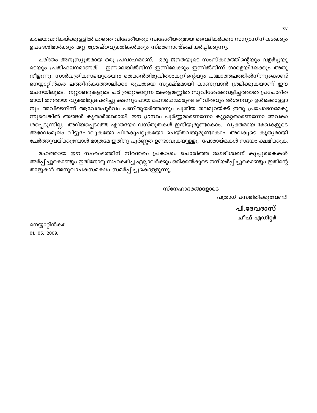കാലയവനികയ്ക്കുള്ളിൽ മറഞ്ഞ വിദേശീയരും സ്വദേശീയരുമായ വൈദികർക്കും സന്യാസിനികൾക്കും ഉപദേശിമാർക്കും മറ്റു ശ്രേഷ്ഠവ്യക്തികൾക്കും സ്മരണാഞ്ജലിയർപ്പിക്കുന്നു.

ചരിത്രം അനുസ്യുതമായ ഒരു പ്രവാഹമാണ്. ഒരു ജനതയുടെ സംസ്കാരത്തിന്റെയും വളർച്ചയു ടെയും പ്രതിഫലനമാണത്. ഇന്നലെയിൽനിന്ന് ഇന്നിലേക്കും ഇന്നിൽനിന്ന് നാളെയിലേക്കും അതു നീളുന്നു. സാർവത്രികസഭയുടെയും തെക്കൻതിരുവിതാംകൂറിന്റെയും പശ്ചാത്തലത്തിൽനിന്നുകൊണ്ട<mark>്</mark> നെയ്യാറ്റിൻകര ലത്തീൻകത്തോലിക്കാ രൂപതയെ സൂക്ഷ്മമായി കാണുവാൻ ശ്രമിക്കുകയാണ് ഈ രചനയിലൂടെ. നൂറ്റാണ്ടുകളുടെ ചരിത്രമുറങ്ങുന്ന കേരളമണ്ണിൽ സുവിശേഷവെളിച്ചത്താൽ പ്രചോദിത രായി തനതായ വ്യക്തിമുദ്രപതിച്ചു കടന്നുപോയ മഹാരഥന്മാരുടെ ജീവിതവും ദർശനവും ഉൾക്കൊള്ളാ നും അവിടെനിന്ന് ആവേശപൂർവം പണിതുയർത്താനും പുതിയ തലമുറയ്ക്ക് ഇതു പ്രചോദനമേകു ന്നുവെങ്കിൽ ഞങ്ങൾ കൃതാർത്ഥരായി. ഈ ഗ്രന്ഥം പൂർണ്ണമാണെന്നോ കുറ്റമറ്റതാണെന്നോ അവകാ ശപ്പെടുന്നില്ല. അറിയപ്പെടാത്ത എത്രയോ വസ്തുതകൾ ഇനിയുമുണ്ടാകാം. വ്യക്തമായ രേഖകളുടെ അഭാവംമൂലം വിട്ടുപോവുകയോ പിശകുപറ്റുകയോ ചെയ്തവയുമുണ്ടാകാം. അവകൂടെ കൃത്യമായി ചേർത്തുവയ്ക്കുമ്പോൾ മാത്രമേ ഇതിനു പൂർണ്ണത ഉണ്ടാവുകയുള്ളു. പോരായ്മകൾ സദയം ക്ഷമിക്കുക

മഹത്തായ ഈ സംരംഭത്തിന് നിരന്തരം പ്രകാശം ചൊരിഞ്ഞ ജഗദീശ്വരന് കൂപ്പുകൈകൾ അർപ്പിച്ചുകൊണ്ടും ഇതിനോടു സഹകരിച്ച എല്ലാവർക്കും ഒരിക്കൽകൂടെ നന്ദിയർപ്പിച്ചുകൊണ്ടും ഇതിന്റെ താളുകൾ അനുവാചകസമക്ഷം സമർപ്പിച്ചുകൊള്ളുന്നു.

സ്നേഹാദരങ്ങളോടെ

പത്രാധിപസമിതിക്കുവേണ്ടി

പി.ദേവദാസ് ചീഫ് എഡിറ്റർ

നെയ്യാറ്റിൻകര 01. 05. 2009.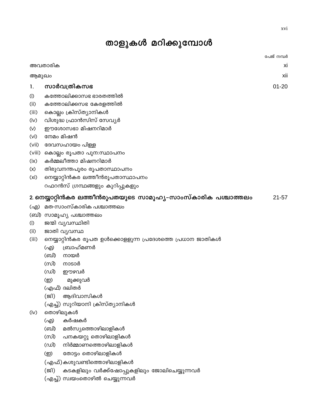# താളുകൾ മറിക്കുമ്പോൾ

|                                                          | പേജ് നമ്പര                                                                                                       |
|----------------------------------------------------------|------------------------------------------------------------------------------------------------------------------|
| അവതാരിക                                                  | х                                                                                                                |
| ആമുഖം                                                    | xi                                                                                                               |
| സാർവത്രികസഭ                                              | $01 - 20$                                                                                                        |
| കത്തോലിക്കാസഭ ഭാരതത്തിൽ                                  |                                                                                                                  |
|                                                          |                                                                                                                  |
|                                                          |                                                                                                                  |
| വിശുദ്ധ ഫ്രാൻസിസ് സേവ്യർ                                 |                                                                                                                  |
| ഈശോസഭാ മിഷനറിമാർ                                         |                                                                                                                  |
| നേമം മിഷൻ                                                |                                                                                                                  |
| ദേവസഹായം പിള്ള                                           |                                                                                                                  |
| കൊല്ലം രൂപതാ പുന:സ്ഥാപനം                                 |                                                                                                                  |
| കർമ്മലീത്താ മിഷനറിമാർ                                    |                                                                                                                  |
| തിരുവനന്തപൂരം രൂപതാസ്ഥാപനം                               |                                                                                                                  |
| നെയ്യാറ്റിൻകര ലത്തീൻരൂപതാസ്ഥാപനം                         |                                                                                                                  |
| റഫറൻസ് ഗ്രന്ഥങ്ങളും കുറിപ്പുകളും                         |                                                                                                                  |
|                                                          | $21 - 57$                                                                                                        |
| മത-സാംസ്കാരിക പശ്ചാത്തലം                                 |                                                                                                                  |
| (ബി) സാമൂഹ്യ പശ്ചാത്തലം                                  |                                                                                                                  |
| ജന്മി വ്യവസ്ഥിതി                                         |                                                                                                                  |
| ജാതി വ്യവസ്ഥ                                             |                                                                                                                  |
| നെയ്യാറ്റിൻകര രൂപത ഉൾക്കൊളളുന്ന പ്രദേശത്തെ പ്രധാന ജാതികൾ |                                                                                                                  |
| ബ്രാഹ്മണർ<br>(എ)                                         |                                                                                                                  |
| (ബി)<br>നായർ                                             |                                                                                                                  |
| (സി)<br>നാടാർ                                            |                                                                                                                  |
| (ഡി)<br>ഈഴവർ                                             |                                                                                                                  |
| (ഇ)<br>മുക്കുവർ                                          |                                                                                                                  |
| (എഫ്) ദലിതർ                                              |                                                                                                                  |
| (ജി)<br>ആദിവാസികൾ                                        |                                                                                                                  |
| (എച്ച്) സുറിയാനി ക്രിസ്ത്യാനികൾ                          |                                                                                                                  |
| തൊഴിലുകൾ                                                 |                                                                                                                  |
| കർഷകർ<br>(എ)                                             |                                                                                                                  |
| മൽസ്യത്തൊഴിലാളികൾ<br>(ബി)                                |                                                                                                                  |
| പനകയറ്റു തൊഴിലാളികൾ<br>(സി)                              |                                                                                                                  |
| നിർമ്മാണത്തൊഴിലാളികൾ<br>(ഡി)                             |                                                                                                                  |
|                                                          | കത്തോലിക്കസഭ കേരളത്തിൽ<br>കൊല്ലം ക്രിസ്ത്യാനികൾ<br>2. നെയ്യാറ്റിൻകര ലത്തീൻരൂപതയുടെ സാമൂഹ്യ–സാംസ്കാരിക പശ്ചാത്തലം |

- തോട്ടം തൊഴിലാളികൾ (<u>ම</u>)
- (എഫ്) കശുവണ്ടിത്തൊഴിലാളികൾ
- (ജി) കടകളിലും വർക്ക്ഷോപ്പുകളിലും ജോലിചെയ്യുന്നവർ
- (എച്ച്) സ്വയംതൊഴിൽ ചെയ്യുന്നവർ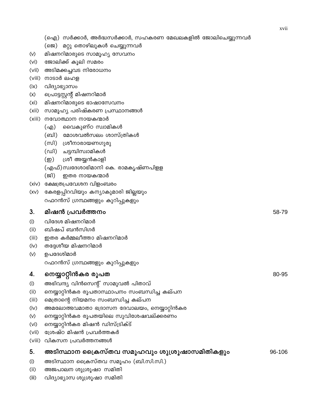|                   | (ഐ) സർക്കാർ, അർദ്ധസർക്കാർ, സഹകരണ മേഖലകളിൽ ജോലിചെയ്യുന്നവർ<br>(ജെ) മറ്റു തൊഴിലുകൾ ചെയ്യുന്നവർ |        |
|-------------------|----------------------------------------------------------------------------------------------|--------|
| $(\vee)$          | മിഷനറിമാരുടെ സാമൂഹ്യ സേവനം                                                                   |        |
| (v <sub>i</sub> ) | ജോലിക്ക് കൂലി സമരം                                                                           |        |
| (vii)             | അടിമക്കച്ചവട നിരോധനം                                                                         |        |
| (viii)            | നാടാർ ലഹള                                                                                    |        |
| (ix)              | വിദ്യാഭ്യാസം                                                                                 |        |
| (x)               | പ്രൊട്ടസ്റ്റന്റ് മിഷനറിമാർ                                                                   |        |
| (x <sub>i</sub> ) | മിഷനറിമാരുടെ ഭാഷാസേവനം                                                                       |        |
| (xii)             | സാമൂഹ്യ പരിഷ്കരണ പ്രസ്ഥാനങ്ങൾ                                                                |        |
| (xiii)            | നവോത്ഥാന നായകന്മാർ                                                                           |        |
|                   | വൈകുണ്ഠ സ്വാമികൾ<br>(എ)                                                                      |        |
|                   | (ബി)   മോശവൽസലം ശാസ്ത്രികൾ                                                                   |        |
|                   | (സി) ശ്രീനാരായണഗുരു                                                                          |        |
|                   | (ഡി) ചട്ടമ്പിസ്വാമികൾ                                                                        |        |
|                   | ശ്രീ അയ്യൻകാളി<br>(ഇ)                                                                        |        |
|                   | (എഫ്)സ്വദേശാഭിമാനി കെ. രാമകൃഷ്ണപിളള                                                          |        |
|                   | (ജി)<br>ഇതര നായകന്മാർ                                                                        |        |
| (xiv)             | ക്ഷേത്രപ്രവേശന വിളംബരം                                                                       |        |
| (xv)              | കേരളപ്പിറവിയും കന്യാകുമാരി ജില്ലയും                                                          |        |
|                   | റഫറൻസ് ഗ്രന്ഥങ്ങളും കുറിപ്പുകളും                                                             |        |
|                   |                                                                                              |        |
|                   |                                                                                              |        |
| 3.                | മിഷൻ പ്രവർത്തനം                                                                              | 58-79  |
| (i)               | വിദേശ മിഷനറിമാർ                                                                              |        |
| (ii)              | ബിഷപ് ബൻസിഗർ                                                                                 |        |
| (iii)             | ഇതര കർമ്മലീത്താ മിഷനറിമാർ                                                                    |        |
| (iv)              | തദ്ദേശീയ മിഷനറിമാർ                                                                           |        |
| $(\vee)$          | ഉപദേശിമാർ                                                                                    |        |
|                   | റഫറൻസ് ഗ്രന്ഥങ്ങളും കുറിപ്പുകളും                                                             |        |
| 4.                | നെയ്യാറ്റിൻകര രൂപത                                                                           | 80-95  |
| (i)               | അഭിവന്ദ്യ വിൻസെന്റ് സാമുവൽ പിതാവ്                                                            |        |
| (ii)              | നെയ്യാറ്റിൻകര രൂപതാസ്ഥാപനം സംബന്ധിച്ച കല്പന                                                  |        |
| (iii)             | മെത്രാന്റെ നിയമനം സംബന്ധിച്ച കല്പന                                                           |        |
| (iv)              | അമലോത്ഭവമാതാ ഭദ്രാസന ദേവാലയം, നെയ്യാറ്റിൻകര                                                  |        |
| $(\vee)$          | നെയ്യാറ്റിൻകര രൂപതയിലെ സുവിശേഷവല്ക്കരണം                                                      |        |
| (vi)              | നെയ്യാറ്റിൻകര മിഷൻ ഡിസ്ട്രിക്ട്                                                              |        |
| (vii)             | ശ്രേഷ്ഠ മിഷൻ പ്രവർത്തകർ                                                                      |        |
| (viii)            | വികസന പ്രവർത്തനങ്ങൾ                                                                          |        |
| 5.                | അടിസ്ഥാന ക്രൈസ്തവ സമൂഹവും ശുശ്രൂഷാസമിതികളും                                                  | 96-106 |
| (i)               | അടിസ്ഥാന ക്രൈസ്തവ സമൂഹം (ബി.സി.സി.)                                                          |        |

 $(iii)$ വിദ്യാഭ്യാസ ശുശ്രൂഷാ സമിതി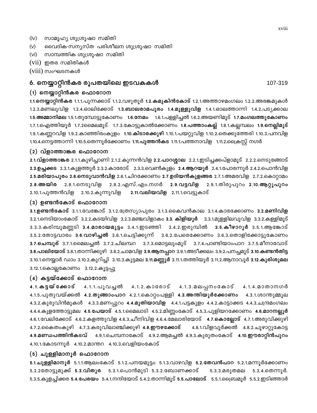- സാമൂഹ്യ ശുശ്രൂഷാ സമിതി  $(iv)$
- വൈദിക-സന്യസ്ത പരിശീലന ശുശ്രൂഷാ സമിതി  $(v)$
- $(vi)$ സാമ്പത്തിക ശുശ്രുഷാ സമിതി
- (vii) ഇതര സമിതികൾ
- (viii) സംഘടനകൾ

#### 6. നെയ്യാറ്റിൻകര രൂപതയിലെ ഇടവകകൾ

#### (1) നെയ്യാറ്റിൻകര ഫൊറോന

1.1.നെയ്യാറ്റിൻകര 1.1.1.പുന്നക്കാട് 1.1.2.വഴുതൂർ 1.2.കമുകിൻകോട് 1.2.1.അത്താഴമംഗലം 1.2.2.അരങ്കമുകൾ 1.2.3.മണലുവിള 1.2.4.ഓലിക്കോട് 1.<mark>3.ബാലരാമപുരം 1.4.മുള്ളുവിള</mark> 1.4.1.ഓലത്താന്നി 1.4.2.പട്യക്കാല 1.5.<mark>അമ്മാനിമല</mark> 1.5.1.തുമ്പോട്ടുകോണം 1.<mark>6.നേമം</mark> 1.6.1.പള്ളിച്ചൽ 1.6.2.അയണിമൂട് 1.7.**മംഗലത്തുകോണം** 1.7.1.ഐത്തിയൂർ 1.7.2മൈലമൂട് 1.7.3.കോട്ടുകാൽക്കോണം 1.8.<mark>പത്താംകല്ല്</mark> 1.8.1.കല്ലമ്പലം 1.**9.നെല്ലിമൂട്** 1.9.1.കണ്ണറവിള 1.9.2.കാഞ്ഞിരംകുളം 1.10.കിടാരക്കുഴി 1.10.1.പയറ്റുവിള 1.10.2.തെക്കുത്തേരി 1.10.3.പനവിള 1.10.4.നെട്ടത്താന്നി 1.10.5.തെന്നൂർക്കോണം 1.11.പു**ത്തൻകട** 1.11.1.പത്തനാവിള 1.11.2.പ്രൈസ്റ്റ് നഗർ

#### (2) വ്ളാത്താങ്കര ഫൊറോന

2.1.വ്ളാത്താങ്കര 2.1.1.കുഴിച്ചാണി 2.1.2.കുന്നൻവിള 2.2.പാറശ്ശാല 2.2.1.ഇടിച്ചക്കപ്ളാമൂട് 2.2.2.നെടുങ്ങോട് 2.3.ഉച്ചക്കട 2.3.1.കുളത്തൂർ 2.3.2.കാരോട് 2.3.3.വെൺകുളം 2.4.ആറയൂർ 2.4.1.പോരന്നൂർ 2.4.2.പൊൻവിള 2.5.മരിയാപുരം 2.6.നെടുവാൻവിള 2.6.1.ചിറക്കോണം 2.7.ഉദിയൻകുളങ്ങര 2.7.1.അമരവിള 2.7.2.കൊറ്റാമം 2.8.അയിര 2.8.1.നെടുവിള 2.8.2.എസ്.എം.നഗർ 2.9.വട്ടവിള 2.9.1.തിരുപുറം 2.10.ആറ്റുപുറം 2.10.1.പുത്തൻവിള 2.10.2.കുന്നുവിള 2.11.വലിയവിള 2.11.1.വെട്ടുകാട്

#### (3) ഉണ്ടൻകോട് ഫൊറോന

3.1.ഉണ്ടൻകോട് 3.1.1.വേങ്കോട് 3.1.2.ത്രേസ്യാപുരം 3.1.3.കൈവൻകാല 3.1.4.കാരക്കോണം 3.2.മണിവിള 3.2.1.നെടിയാംകോട് 3.2.2.കടയിവിള 3.2.3.മഞ്ചവിളാകം 3.3. കിളിയൂർ 3.3.1.മുള്ളിലവുവിള 3.3.2.കള്ളിമൂട് 3.3.3.കരിമ്പുമണ്ണടി **3.4.മാരായമുട്ടം** 3.4.1.ഇടഞ്ഞി 3.4.2.ഇരുമ്പിൽ 3.5.കീഴാറൂർ 3.5.1.ആങ്കോട് 3.5.2.തോട്ടവാരം 3.6.<mark>വാഴിച്ചൽ</mark> 3.6.1.ചെട്ടിക്കുന്ന് 3.6.2.പേരെക്കോണം 3.6.3.തൊളിക്കോട്ടുകോണം 3.7.ചെമ്പൂര് 3.7.1.മൈലച്ചൽ 3.7.2.ചിലമ്പറ 3.7.3.മൊട്ടലുംമൂട് 3.7.4.പാണ്ടിയാംപാറ 3.7.5.മീനാവോട് 3.8.പാലിയോട് 3.8.1.താന്നിക്കുഴി 3.8.2.ചാമവിള 3.9.ആനപ്പാറ 3.9.1.അടീക്കലം 3.9.2.പനച്ചമൂട് 3.10.കണ്ടൻതിട്ട 3.10.1.നെയ്യാർ ഡാം 3.10.2.കുറിച്ചി 3.10.3.കുട്ടമല 3.11.മണ്ണൂർ 3.11.1.തത്തിയൂർ 3.11.2.ആനാവൂർ 3.12.കുരിശുമല 3.12.1.കൊല്ലകോണം 3.12.2.കൂട്ടപ്പു

#### (4) കട്ടയ്ക്കോട് ഫൊറോന

4.1.3.മലപ്പനംകോട് 4 . 1 . ക ട്ടയ് ക്കോട് 4.1.1.പൂവച്ചൽ 4.1.2.കാരോട്  $4.1.4.00\%$ 4.1.5.പുതുവയ്ക്കൽ 4.2.തൂങ്ങാംപാറ 4.2.1.കൊറ്റംപള്ളി 4.3.അന്തിയൂർക്കോണം 4.3.1.ശാന്തുമ്മൂല 4.3.2.കുരുവിൻമുകൾ 4.3.3.മണപ്പുറം 4.4.മു<mark>തിയാവിള</mark> 4.4.1.പട്ടകുളം 4.4.2.കാട്ടാക്കട 4.4.3.ചന്ദ്രമംഗലം 4.4.4.കുളത്തോട്ടുമല 4.5.പേയാട് 4.5.1.മൈലാടി 4.5.2.മിണ്ണംകോട് 4.5.3.പുളിയറക്കോണം 4.6.മാറനല്ലൂർ 4.6.1.വേലിക്കോട് 4.6.2.കളത്തുവിള 4.6.3.ചീനിവിള 4.6.4.മേലാരിയോട് 4.7.കൊല്ലോട് 4.7.1.അരുവിക്കുഴി 4.7.2.കൈതംകുഴി 4.7.3.കരുവിലാഞ്ചിക്കുഴി 4.8.<mark>ഈഴക്കോട്</mark> 4.8.1.വിളവൂർക്കൽ 4.8.2.ചൂഴാറ്റുകോട്ട 4.9.മണ്ഡപത്തിൻകടവ് 4.9.1.ചെമ്പനാകോട് 4.9.2.ആമച്ചൽ 4.9.3.കുരുതംകോട് 4.10.ഈരാറ്റിൻപുറം 4.10.1.കോടന്നൂർ 4.10.2.മാന്തറ 4.10.3.വെളിയംകോട്

#### (5) ചുള്ളിമാനൂർ ഫൊറോന

5.1.ചുള്ളിമാനൂർ 5.1.1.ആലംകോട് 5.1.2.പനയമുട്ടം 5.1.3.വാഴവിള 5.2.തേവൻപാറ 5.2.1.മന്നൂർക്കോണം 5.2.2തോട്ടുമുക്ക് 5.3.വിതുര 5.3.1.പൊൻമുടി 5.3.2.ബോണക്കാട് 5.3.3.മരുതമല 5.3.4.തെന്നുർ. 5.3.5.കുളച്ചിക്കര 5.4.പേരയം 5.4.1.നന്ദിയോട് 5.4.2.താന്നിമൂട് 5.5.പാലോട് 5.5.1.പ്രൈമ്പമൂർ 5.5.2.ഇടിഞ്ഞാർ

xviii

107-319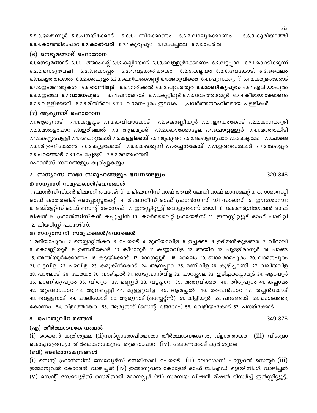5.5.3.ഭരതന്നൂർ 5.6.പനയ്ക്കോട് 5.6.1.പന്നിക്കോണം 5.6.2.വാലുക്കോണം 5.6.3.കുരിയാത്തി 5.6.4.കാഞ്ഞിരംപാറ 5.7.<mark>കാൽവരി</mark> 5.7.1.കുറുപുഴ 5.7.2.പച്ചമല 5.7.3.പേരില

#### (6) നെടുമങ്ങാട് ഫൊറോന

6.1.നെടുമങ്ങാട് 6.1.1.പത്താംകല്ല് 6.1.2.കല്ലിയോട് 6.1.3.വെള്ളൂർക്കോണം 6.2.വട്ടപ്പാറ 6.2.1.കൊടിക്കുന്ന് 6.2.2.നെടുവേലി 6.2.3.കൊപ്പം 6.2.4.വട്ടക്കരിക്കകം 6.2.5.കല്ലയം 6.2.6.വേങ്കോട്. 6.3.മൈലം 6.3.1.കളത്തുകാൽ 6.3.2.കരകുളം 6.3.3.ചെറിയകൊണ്ണി 6.4.**അരുവിക്കര** 6.4.1.പുന്നക്കുന്ന് 6.4.2.കരുമരക്കോട്  $6.4.3.$ ഇടമൺമുകൾ  $6.5.$ താന്നിമുട്  $6.5.1$ .നരിക്കൽ  $6.5.2$ .പുവത്തുർ  $6.6.$ മാണികൃപുരം  $6.6.1$ .ഏലിയാപുരം 6.6.2.ഇടമല 6.7.വാമനപുരം 6.7.1.പനങ്ങോട് 6.7.2.കുറ്റിമൂട് 6.7.3.വെഞ്ഞാറമൂട് 6.7.4.കീഴായിക്കോണം 6.7.5.വള്ളിക്കടവ് 6.7.6.മിതിർമല 6.7.7. വാമനപുരം ഇടവക - പ്രവർത്തനരഹിതമായ പള്ളികൾ

#### (7) ആര്യനാട് ഫൊറോന

7.1.ആര്യനാട് 7.1.1.കുളപ്പട 7.1.2.കവിയാകോട് 7.2.കൊണ്ണിയൂർ 7.2.1.ഇറയംകോട് 7.2.2.കാനക്കുഴി 7.2.3.മാതളംപാറ 7.3.**ഇരിഞ്ചൽ** 7.3.1.ആലമുക്ക് 7.3.2.കൊക്കോട്ടേല 7.4.**ചൊവ്വള്ളൂർ** 7.4.1.മരത്തകിടി 7.4.2.കണ്ണംപള്ളി 7.4.3.ചെറുകോട് 7.5.<mark>കള്ളിക്കാട്</mark> 7.5.1.മുകുന്ദറ 7.5.2.കൊളവുപാറ 7.5.3.കല്ലാമം 7.6.**ചാങ്ങ** 7.6.1.മിത്രനികേതൻ 7.6.2.കുളക്കോട് 7.6.3.കഴക്കുന്ന് 7.7.തച്ചൻകോട് 7.7.1.ഉത്തരംകോട് 7.7.2.കോട്ടൂർ 7.8.പറണ്ടോട് 7.8.1.ചേരപ്പള്ളി 7.8.2.മലയംതേരി

റഫറൻസ് ഗ്രന്ഥങ്ങളും കുറിപ്പുകളും

#### 7. സന്യാസ സഭാ സമൂഹങ്ങളും ഭവനങ്ങളും

#### (i) സന്യാസി സമൂഹങ്ങൾ/ഭവനങ്ങൾ

1. ഫ്രാൻസിസ്കൻ മിഷനറി ബ്രദേഴ്സ് 2. മിഷനറീസ് ഓഫ് അവർ ലേഡി ഓഫ് ലാസലെറ്റ് 3. സൊസൈറ്റി ഓഫ് കാത്തലിക് അപ്പോസ്റ്റലേറ്റ് 4. മിഷനറീസ് ഓഫ് ഫ്രാൻസിസ് ഡി സാലസ് 5. ഈശോസഭ 6. ഒബ്ളേറ്റ്സ് ഓഫ് സെന്റ് ജോസഫ് 7. ഇൻസ്റ്റിറ്റ്യൂട്ട് വൊളുന്താസ് ദേയി 8. കോൺഗ്രിഗേഷൻ ഓഫ് മിഷൻ 9. ഫ്രാൻസിസ്കൻ കപ്പൂച്ചിൻ 10. കാർമലൈറ്റ് ഫ്രയേഴ്സ് 11. ഇൻസ്റ്റിറ്റ്യൂട്ട് ഓഫ് ചാരിറ്റി 12. പിയറിസ്റ്റ് ഫാദേഴ്സ്.

#### (ii) സന്യാസിനി സമുഹങ്ങൾ/ഭവനങ്ങൾ

1. മരിയാപുരം 2. നെയ്യാറ്റിൻകര 3. പേയാട് 4. മുതിയാവിള 5. ഉച്ചക്കട 6. ഉദിയൻകുളങ്ങര 7. വിരാലി 8. കൊണ്ണിയൂർ 9. ഉണ്ടൻകോട് 10. കീഴാറൂർ 11. കണ്ണറവിള 12. അയിര 13. ചുള്ളിമാനൂർ 14. ചാങ്ങ 15. അന്തിയൂർക്കോണം 16. കട്ടയ്ക്കോട് 17. മാറനല്ലൂർ 18. മൈലം 19. ബാലരാമപുരം 20. വാമനപുരം 21. വട്ടവിള 22. പഴവിള 23. കമുകിൻകോട് 24. ആനപ്പാറ 25. മണിവിള 26. കുഴിച്ചാണി 27. വലിയവിള 28. പാലോട് 29. പേരയം 30. വാഴിച്ചൽ 31. നെടുവാൻവിള 32. പാറശ്ശാല 33. ഇടിച്ചക്കപ്ലാമൂട് 34. ആറയൂർ 35. മാണികൃപുരം 36. വിതുര 37. മണ്ണൂർ 38. വട്ടപ്പാറ 39. അരുവിക്കര 40. തിരുപുറം 41. കല്ലാമം 42. തൂങ്ങാംപാറ 43. ആനപ്പെട്ടി 44. മുള്ളുവിള 45. ആമച്ചൽ 46. തേവൻപാറ 47. തച്ചൻകോട് 48. വെള്ളനാട് 49. പാലിയോട് 50. ആര്യനാട് (ഒബ്ലേറ്റ്സ്) 51. കിളിയൂർ 52. പറണ്ടോട് 53. മംഗലത്തു കോണം 54. വ്ളാത്താങ്കര 55. ആര്യനാട് (സെന്റ് ജെറോം) 56. വെളിയംകോട് 57. പനയ്ക്കോട്

#### 8. പൊതുവിവരങ്ങൾ

#### (എ) തീർത്ഥാടനകേന്ദ്രങ്ങൾ

(i) തെക്കൻ കുരിശുമല (ii)സ്വർഗ്ഗാരോപിതമാതാ തീർത്ഥാടനകേന്ദ്രം, വ്ളാത്താങ്കര  $(iii)$  വിശുദ്ധ കൊച്ചുത്രേസ്യാ തീർത്ഥാടനകേന്ദ്രം, തൂങ്ങാംപാറ (iv). ബോണക്കാട് കുരിശുമല

#### (ബി) അഭിമാനകേന്ദ്രങ്ങൾ

 $(i)$  സെന്റ് ഫ്രാൻസിസ് സേവ്യേഴ്സ് സെമിനാരി, പേയാട്  $(ii)$  ലോഗോസ് പാസ്റ്ററൽ സെന്റർ  $(iii)$ ഇമ്മാനുവൽ കോളേജ്, വാഴിച്ചൽ (iv) ഇമ്മാനുവൽ കോളേജ് ഓഫ് ബി.എഡ്. ട്രെയിനിംഗ്, വാഴിച്ചൽ (v) സെന്റ് സേവ്യേഴ്സ് സെമിനാരി മാറനല്ലൂർ (vi) സമന്വയ വിഷൻ മിഷൻ റിസർച്ച് ഇൻസ്റ്റിറ്റ്യൂട്ട്,

xix

#### 320-348

#### 349-378